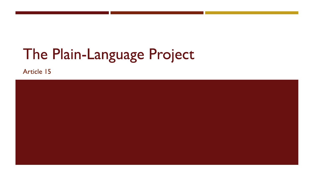# The Plain-Language Project

Article 15

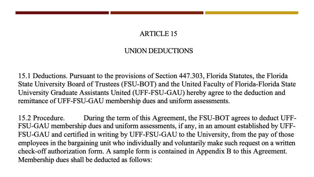#### **ARTICLE 15**

#### UNION DEDUCTIONS

15.1 Deductions. Pursuant to the provisions of Section 447.303, Florida Statutes, the Florida State University Board of Trustees (FSU-BOT) and the United Faculty of Florida-Florida State University Graduate Assistants United (UFF-FSU-GAU) hereby agree to the deduction and remittance of UFF-FSU-GAU membership dues and uniform assessments.

15.2 Procedure. During the term of this Agreement, the FSU-BOT agrees to deduct UFF-FSU-GAU membership dues and uniform assessments, if any, in an amount established by UFF-FSU-GAU and certified in writing by UFF-FSU-GAU to the University, from the pay of those employees in the bargaining unit who individually and voluntarily make such request on a written check-off authorization form. A sample form is contained in Appendix B to this Agreement. Membership dues shall be deducted as follows: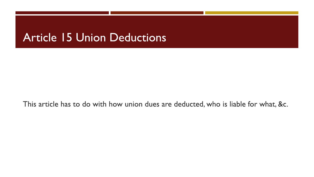## **Article 15 Union Deductions**

This article has to do with how union dues are deducted, who is liable for what, &c.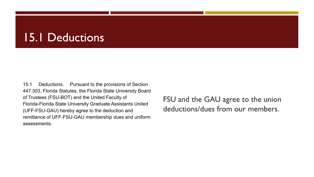## **15.1 Deductions**

15.1 Deductions. Pursuant to the provisions of Section 447.303, Florida Statutes, the Florida State University Board of Trustees (FSU-BOT) and the United Faculty of Florida-Florida State University Graduate Assistants United (UFF-FSU-GAU) hereby agree to the deduction and remittance of UFF-FSU-GAU membership dues and uniform assessments.

FSU and the GAU agree to the union deductions/dues from our members.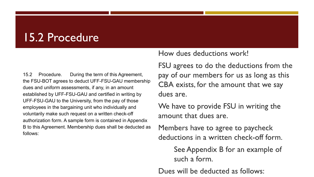## 15.2 Procedure

 $15.2$ Procedure. During the term of this Agreement, the FSU-BOT agrees to deduct UFF-FSU-GAU membership dues and uniform assessments, if any, in an amount established by UFF-FSU-GAU and certified in writing by UFF-FSU-GAU to the University, from the pay of those employees in the bargaining unit who individually and voluntarily make such request on a written check-off authorization form. A sample form is contained in Appendix B to this Agreement. Membership dues shall be deducted as follows:

How dues deductions work!

FSU agrees to do the deductions from the pay of our members for us as long as this CBA exists, for the amount that we say dues are.

We have to provide FSU in writing the amount that dues are.

Members have to agree to paycheck deductions in a written check-off form.

> See Appendix B for an example of such a form.

Dues will be deducted as follows: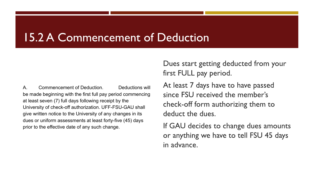### **15.2 A Commencement of Deduction**

Commencement of Deduction. Deductions will A. be made beginning with the first full pay period commencing at least seven (7) full days following receipt by the University of check-off authorization. UFF-FSU-GAU shall give written notice to the University of any changes in its dues or uniform assessments at least forty-five (45) days prior to the effective date of any such change.

Dues start getting deducted from your first FULL pay period.

At least 7 days have to have passed since FSU received the member's check-off form authorizing them to deduct the dues.

If GAU decides to change dues amounts or anything we have to tell FSU 45 days in advance.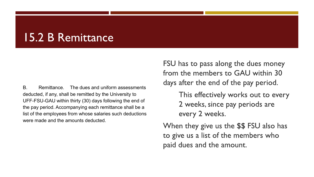## 15.2 B Remittance

 $B.$ The dues and uniform assessments Remittance. deducted, if any, shall be remitted by the University to UFF-FSU-GAU within thirty (30) days following the end of the pay period. Accompanying each remittance shall be a list of the employees from whose salaries such deductions were made and the amounts deducted.

FSU has to pass along the dues money from the members to GAU within 30 days after the end of the pay period.

> This effectively works out to every 2 weeks, since pay periods are every 2 weeks.

When they give us the \$\$ FSU also has to give us a list of the members who paid dues and the amount.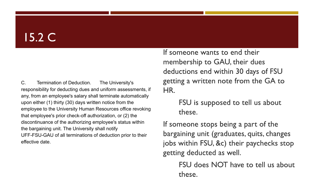## $15.2 \text{ C}$

 $\mathsf{C}$ Termination of Deduction. The University's responsibility for deducting dues and uniform assessments, if any, from an employee's salary shall terminate automatically upon either (1) thirty (30) days written notice from the employee to the University Human Resources office revoking that employee's prior check-off authorization, or (2) the discontinuance of the authorizing employee's status within the bargaining unit. The University shall notify UFF-FSU-GAU of all terminations of deduction prior to their effective date.

If someone wants to end their membership to GAU, their dues deductions end within 30 days of FSU getting a written note from the GA to HR.

> FSU is supposed to tell us about these.

If someone stops being a part of the bargaining unit (graduates, quits, changes jobs within FSU, &c) their paychecks stop getting deducted as well.

> FSU does NOT have to tell us about these.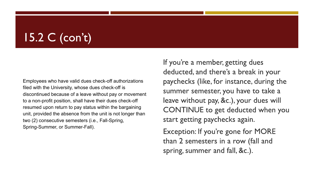## $15.2 C$  (con't)

Employees who have valid dues check-off authorizations filed with the University, whose dues check-off is discontinued because of a leave without pay or movement to a non-profit position, shall have their dues check-off resumed upon return to pay status within the bargaining unit, provided the absence from the unit is not longer than two (2) consecutive semesters (i.e., Fall-Spring, Spring-Summer, or Summer-Fall).

If you're a member, getting dues deducted, and there's a break in your paychecks (like, for instance, during the summer semester, you have to take a leave without pay, &c.), your dues will **CONTINUE** to get deducted when you start getting paychecks again.

Exception: If you're gone for MORE than 2 semesters in a row (fall and spring, summer and fall, &c.).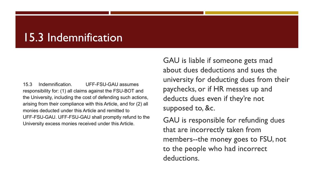## 15.3 Indemnification

15.3 Indemnification. UFF-FSU-GAU assumes responsibility for: (1) all claims against the FSU-BOT and the University, including the cost of defending such actions, arising from their compliance with this Article, and for (2) all monies deducted under this Article and remitted to UFF-FSU-GAU. UFF-FSU-GAU shall promptly refund to the University excess monies received under this Article.

GAU is liable if someone gets mad about dues deductions and sues the university for deducting dues from their paychecks, or if HR messes up and deducts dues even if they're not supposed to, &c.

GAU is responsible for refunding dues that are incorrectly taken from members--the money goes to FSU, not to the people who had incorrect deductions.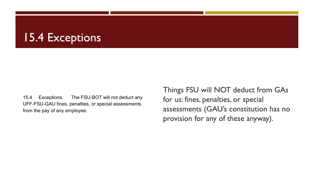## **15.4 Exceptions**

15.4 Exceptions. The FSU-BOT will not deduct any UFF-FSU-GAU fines, penalties, or special assessments from the pay of any employee.

Things FSU will NOT deduct from GAs for us: fines, penalties, or special assessments (GAU's constitution has no provision for any of these anyway).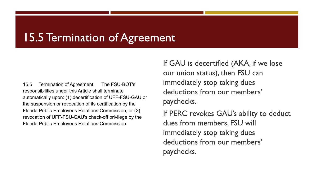## 15.5 Termination of Agreement

15.5 Termination of Agreement. The FSU-BOT's responsibilities under this Article shall terminate automatically upon: (1) decertification of UFF-FSU-GAU or the suspension or revocation of its certification by the Florida Public Employees Relations Commission, or (2) revocation of UFF-FSU-GAU's check-off privilege by the Florida Public Employees Relations Commission.

If GAU is decertified (AKA, if we lose our union status), then FSU can immediately stop taking dues deductions from our members' paychecks.

If PERC revokes GAU's ability to deduct dues from members. FSU will immediately stop taking dues deductions from our members' paychecks.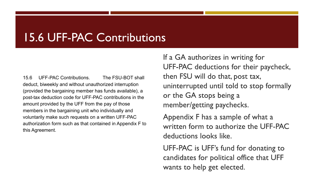### **15.6 UFF-PAC Contributions**

**UFF-PAC Contributions.** The FSU-BOT shall  $156$ deduct, biweekly and without unauthorized interruption (provided the bargaining member has funds available), a post-tax deduction code for UFF-PAC contributions in the amount provided by the UFF from the pay of those members in the bargaining unit who individually and voluntarily make such requests on a written UFF-PAC authorization form such as that contained in Appendix F to this Agreement.

If a GA authorizes in writing for UFF-PAC deductions for their paycheck, then FSU will do that, post tax, uninterrupted until told to stop formally or the GA stops being a member/getting paychecks.

Appendix F has a sample of what a written form to authorize the UFF-PAC deductions looks like.

UFF-PAC is UFF's fund for donating to candidates for political office that UFF wants to help get elected.